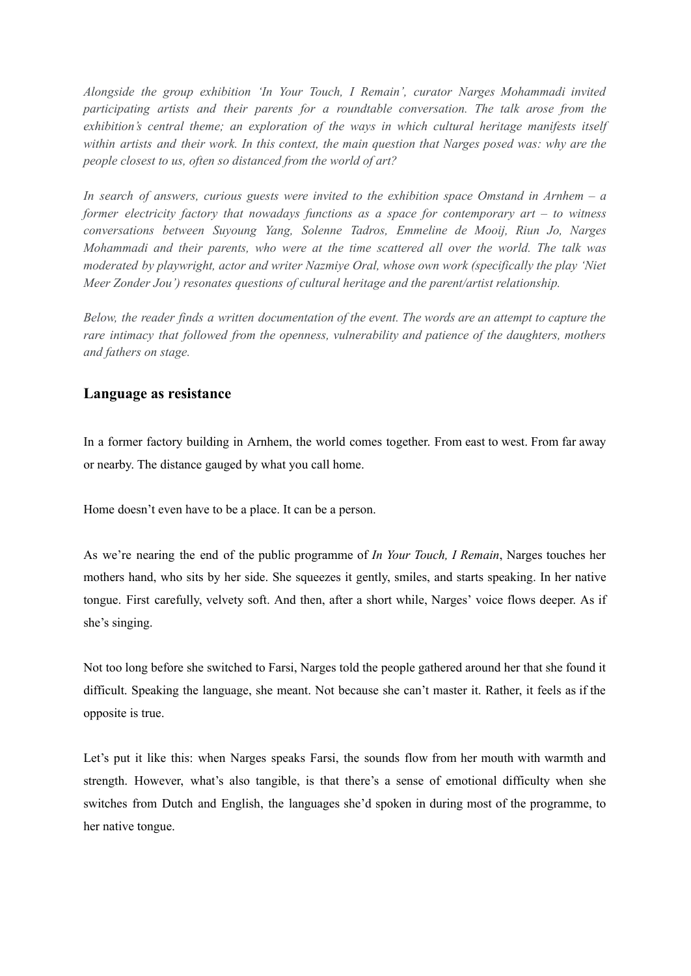*Alongside the group exhibition 'In Your Touch, I Remain', curator Narges Mohammadi invited participating artists and their parents for a roundtable conversation. The talk arose from the exhibition's central theme; an exploration of the ways in which cultural heritage manifests itself* within artists and their work. In this context, the main question that Narges posed was: why are the *people closest to us, often so distanced from the world of art?*

*In search of answers, curious guests were invited to the exhibition space Omstand in Arnhem – a former electricity factory that nowadays functions as a space for contemporary art – to witness conversations between Suyoung Yang, Solenne Tadros, Emmeline de Mooij, Riun Jo, Narges Mohammadi and their parents, who were at the time scattered all over the world. The talk was moderated by playwright, actor and writer Nazmiye Oral, whose own work (specifically the play 'Niet Meer Zonder Jou') resonates questions of cultural heritage and the parent/artist relationship.*

Below, the reader finds a written documentation of the event. The words are an attempt to capture the *rare intimacy that followed from the openness, vulnerability and patience of the daughters, mothers and fathers on stage.*

# **Language as resistance**

In a former factory building in Arnhem, the world comes together. From east to west. From far away or nearby. The distance gauged by what you call home.

Home doesn't even have to be a place. It can be a person.

As we're nearing the end of the public programme of *In Your Touch, I Remain*, Narges touches her mothers hand, who sits by her side. She squeezes it gently, smiles, and starts speaking. In her native tongue. First carefully, velvety soft. And then, after a short while, Narges' voice flows deeper. As if she's singing.

Not too long before she switched to Farsi, Narges told the people gathered around her that she found it difficult. Speaking the language, she meant. Not because she can't master it. Rather, it feels as if the opposite is true.

Let's put it like this: when Narges speaks Farsi, the sounds flow from her mouth with warmth and strength. However, what's also tangible, is that there's a sense of emotional difficulty when she switches from Dutch and English, the languages she'd spoken in during most of the programme, to her native tongue.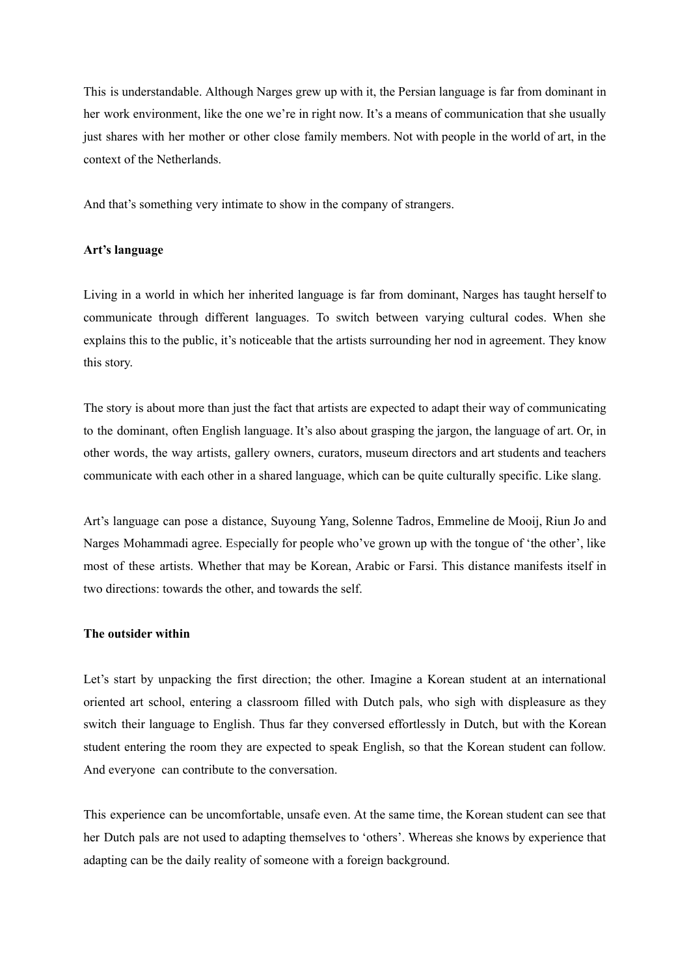This is understandable. Although Narges grew up with it, the Persian language is far from dominant in her work environment, like the one we're in right now. It's a means of communication that she usually just shares with her mother or other close family members. Not with people in the world of art, in the context of the Netherlands.

And that's something very intimate to show in the company of strangers.

### **Art's language**

Living in a world in which her inherited language is far from dominant, Narges has taught herself to communicate through different languages. To switch between varying cultural codes. When she explains this to the public, it's noticeable that the artists surrounding her nod in agreement. They know this story.

The story is about more than just the fact that artists are expected to adapt their way of communicating to the dominant, often English language. It's also about grasping the jargon, the language of art. Or, in other words, the way artists, gallery owners, curators, museum directors and art students and teachers communicate with each other in a shared language, which can be quite culturally specific. Like slang.

Art's language can pose a distance, Suyoung Yang, Solenne Tadros, Emmeline de Mooij, Riun Jo and Narges Mohammadi agree. Especially for people who've grown up with the tongue of 'the other', like most of these artists. Whether that may be Korean, Arabic or Farsi. This distance manifests itself in two directions: towards the other, and towards the self.

## **The outsider within**

Let's start by unpacking the first direction; the other. Imagine a Korean student at an international oriented art school, entering a classroom filled with Dutch pals, who sigh with displeasure as they switch their language to English. Thus far they conversed effortlessly in Dutch, but with the Korean student entering the room they are expected to speak English, so that the Korean student can follow. And everyone can contribute to the conversation.

This experience can be uncomfortable, unsafe even. At the same time, the Korean student can see that her Dutch pals are not used to adapting themselves to 'others'. Whereas she knows by experience that adapting can be the daily reality of someone with a foreign background.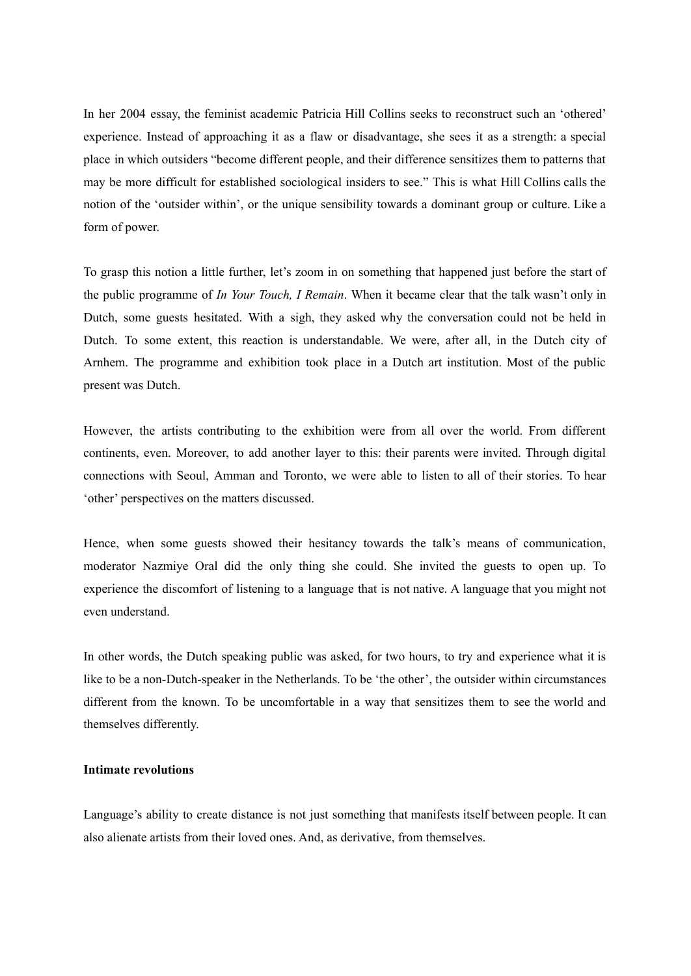In her 2004 essay, the feminist academic Patricia Hill Collins seeks to reconstruct such an 'othered' experience. Instead of approaching it as a flaw or disadvantage, she sees it as a strength: a special place in which outsiders "become different people, and their difference sensitizes them to patterns that may be more difficult for established sociological insiders to see." This is what Hill Collins calls the notion of the 'outsider within', or the unique sensibility towards a dominant group or culture. Like a form of power.

To grasp this notion a little further, let's zoom in on something that happened just before the start of the public programme of *In Your Touch, I Remain*. When it became clear that the talk wasn't only in Dutch, some guests hesitated. With a sigh, they asked why the conversation could not be held in Dutch. To some extent, this reaction is understandable. We were, after all, in the Dutch city of Arnhem. The programme and exhibition took place in a Dutch art institution. Most of the public present was Dutch.

However, the artists contributing to the exhibition were from all over the world. From different continents, even. Moreover, to add another layer to this: their parents were invited. Through digital connections with Seoul, Amman and Toronto, we were able to listen to all of their stories. To hear 'other' perspectives on the matters discussed.

Hence, when some guests showed their hesitancy towards the talk's means of communication, moderator Nazmiye Oral did the only thing she could. She invited the guests to open up. To experience the discomfort of listening to a language that is not native. A language that you might not even understand.

In other words, the Dutch speaking public was asked, for two hours, to try and experience what it is like to be a non-Dutch-speaker in the Netherlands. To be 'the other', the outsider within circumstances different from the known. To be uncomfortable in a way that sensitizes them to see the world and themselves differently.

## **Intimate revolutions**

Language's ability to create distance is not just something that manifests itself between people. It can also alienate artists from their loved ones. And, as derivative, from themselves.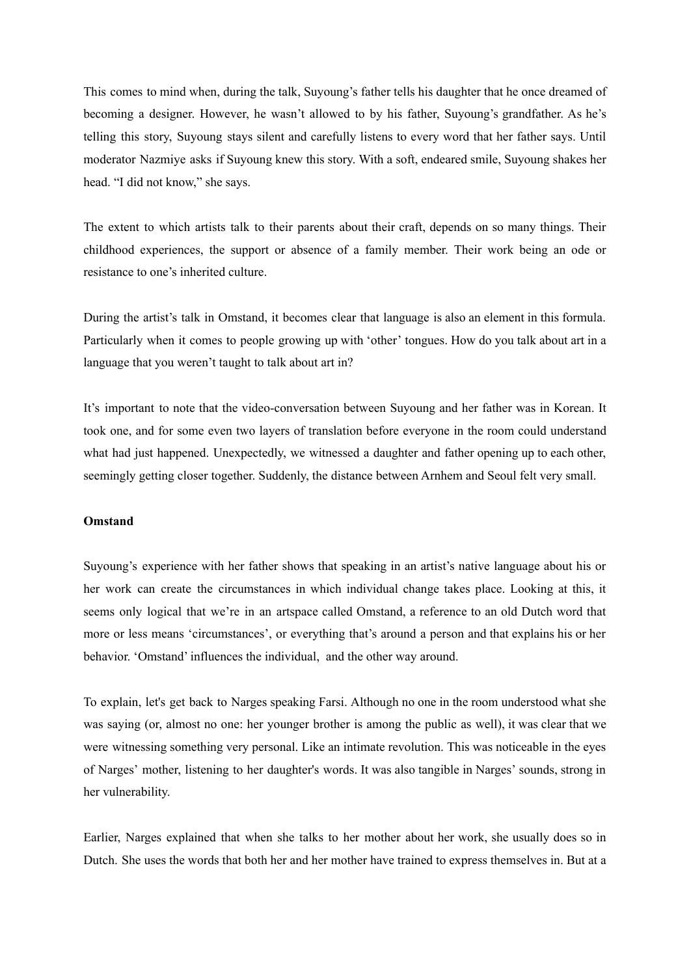This comes to mind when, during the talk, Suyoung's father tells his daughter that he once dreamed of becoming a designer. However, he wasn't allowed to by his father, Suyoung's grandfather. As he's telling this story, Suyoung stays silent and carefully listens to every word that her father says. Until moderator Nazmiye asks if Suyoung knew this story. With a soft, endeared smile, Suyoung shakes her head. "I did not know," she says.

The extent to which artists talk to their parents about their craft, depends on so many things. Their childhood experiences, the support or absence of a family member. Their work being an ode or resistance to one's inherited culture.

During the artist's talk in Omstand, it becomes clear that language is also an element in this formula. Particularly when it comes to people growing up with 'other' tongues. How do you talk about art in a language that you weren't taught to talk about art in?

It's important to note that the video-conversation between Suyoung and her father was in Korean. It took one, and for some even two layers of translation before everyone in the room could understand what had just happened. Unexpectedly, we witnessed a daughter and father opening up to each other, seemingly getting closer together. Suddenly, the distance between Arnhem and Seoul felt very small.

#### **Omstand**

Suyoung's experience with her father shows that speaking in an artist's native language about his or her work can create the circumstances in which individual change takes place. Looking at this, it seems only logical that we're in an artspace called Omstand, a reference to an old Dutch word that more or less means 'circumstances', or everything that's around a person and that explains his or her behavior. 'Omstand' influences the individual, and the other way around.

To explain, let's get back to Narges speaking Farsi. Although no one in the room understood what she was saying (or, almost no one: her younger brother is among the public as well), it was clear that we were witnessing something very personal. Like an intimate revolution. This was noticeable in the eyes of Narges' mother, listening to her daughter's words. It was also tangible in Narges' sounds, strong in her vulnerability.

Earlier, Narges explained that when she talks to her mother about her work, she usually does so in Dutch. She uses the words that both her and her mother have trained to express themselves in. But at a